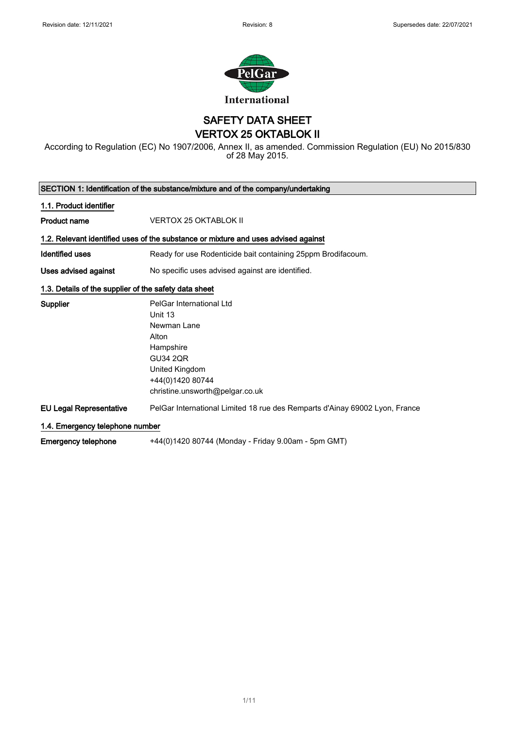

SAFETY DATA SHEET VERTOX 25 OKTABLOK II

According to Regulation (EC) No 1907/2006, Annex II, as amended. Commission Regulation (EU) No 2015/830 of 28 May 2015.

|                                                       | SECTION 1: Identification of the substance/mixture and of the company/undertaking  |
|-------------------------------------------------------|------------------------------------------------------------------------------------|
| 1.1. Product identifier                               |                                                                                    |
| <b>Product name</b>                                   | <b>VERTOX 25 OKTABLOK II</b>                                                       |
|                                                       | 1.2. Relevant identified uses of the substance or mixture and uses advised against |
| Identified uses                                       | Ready for use Rodenticide bait containing 25ppm Brodifacoum.                       |
| Uses advised against                                  | No specific uses advised against are identified.                                   |
| 1.3. Details of the supplier of the safety data sheet |                                                                                    |
| Supplier                                              | PelGar International Ltd                                                           |
|                                                       | Unit 13                                                                            |
|                                                       | Newman Lane                                                                        |
|                                                       | Alton                                                                              |
|                                                       | Hampshire                                                                          |
|                                                       | <b>GU34 2QR</b>                                                                    |
|                                                       | United Kingdom                                                                     |
|                                                       | +44(0)1420 80744                                                                   |
|                                                       | christine.unsworth@pelgar.co.uk                                                    |
| <b>EU Legal Representative</b>                        | PelGar International Limited 18 rue des Remparts d'Ainay 69002 Lyon, France        |
| 1.4. Emergency telephone number                       |                                                                                    |
| <b>Emergency telephone</b>                            | +44(0)1420 80744 (Monday - Friday 9.00am - 5pm GMT)                                |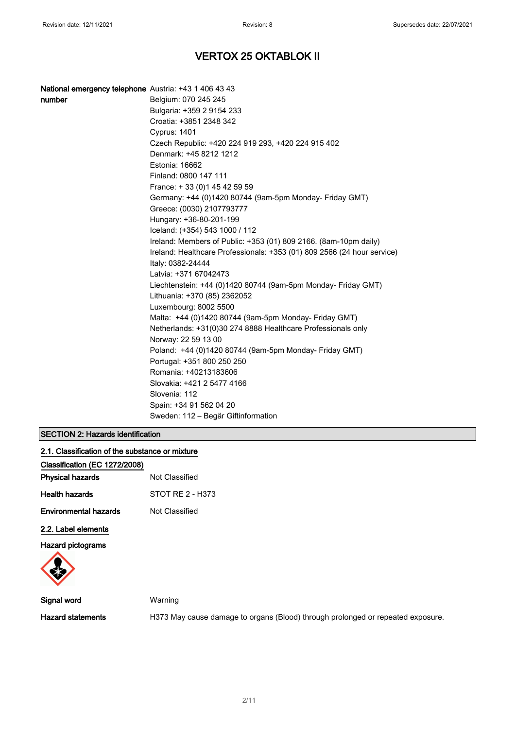| National emergency telephone Austria: +43 1 406 43 43 |                                                                         |
|-------------------------------------------------------|-------------------------------------------------------------------------|
| number                                                | Belgium: 070 245 245                                                    |
|                                                       | Bulgaria: +359 2 9154 233                                               |
|                                                       | Croatia: +3851 2348 342                                                 |
|                                                       | <b>Cyprus: 1401</b>                                                     |
|                                                       | Czech Republic: +420 224 919 293, +420 224 915 402                      |
|                                                       | Denmark: +45 8212 1212                                                  |
|                                                       | Estonia: 16662                                                          |
|                                                       | Finland: 0800 147 111                                                   |
|                                                       | France: +33 (0) 145 42 59 59                                            |
|                                                       | Germany: +44 (0)1420 80744 (9am-5pm Monday- Friday GMT)                 |
|                                                       | Greece: (0030) 2107793777                                               |
|                                                       | Hungary: +36-80-201-199                                                 |
|                                                       | Iceland: (+354) 543 1000 / 112                                          |
|                                                       | Ireland: Members of Public: +353 (01) 809 2166. (8am-10pm daily)        |
|                                                       | Ireland: Healthcare Professionals: +353 (01) 809 2566 (24 hour service) |
|                                                       | Italy: 0382-24444                                                       |
|                                                       | Latvia: +371 67042473                                                   |
|                                                       | Liechtenstein: +44 (0)1420 80744 (9am-5pm Monday- Friday GMT)           |
|                                                       | Lithuania: +370 (85) 2362052                                            |
|                                                       | Luxembourg: 8002 5500                                                   |
|                                                       | Malta: +44 (0)1420 80744 (9am-5pm Monday- Friday GMT)                   |
|                                                       | Netherlands: +31(0)30 274 8888 Healthcare Professionals only            |
|                                                       | Norway: 22 59 13 00                                                     |
|                                                       | Poland: +44 (0)1420 80744 (9am-5pm Monday- Friday GMT)                  |
|                                                       | Portugal: +351 800 250 250                                              |
|                                                       | Romania: +40213183606                                                   |
|                                                       | Slovakia: +421 2 5477 4166                                              |
|                                                       | Slovenia: 112                                                           |
|                                                       | Spain: +34 91 562 04 20                                                 |
|                                                       | Sweden: 112 - Begär Giftinformation                                     |

### SECTION 2: Hazards identification

| 2.1. Classification of the substance or mixture |  |  |
|-------------------------------------------------|--|--|
|                                                 |  |  |

| Classification (EC 1272/2008) |                  |
|-------------------------------|------------------|
| <b>Physical hazards</b>       | Not Classified   |
| <b>Health hazards</b>         | STOT RF 2 - H373 |
| <b>Environmental hazards</b>  | Not Classified   |
| 2.2. Label elements           |                  |

Hazard pictograms



Signal word Warning

Hazard statements **H373 May cause damage to organs (Blood)** through prolonged or repeated exposure.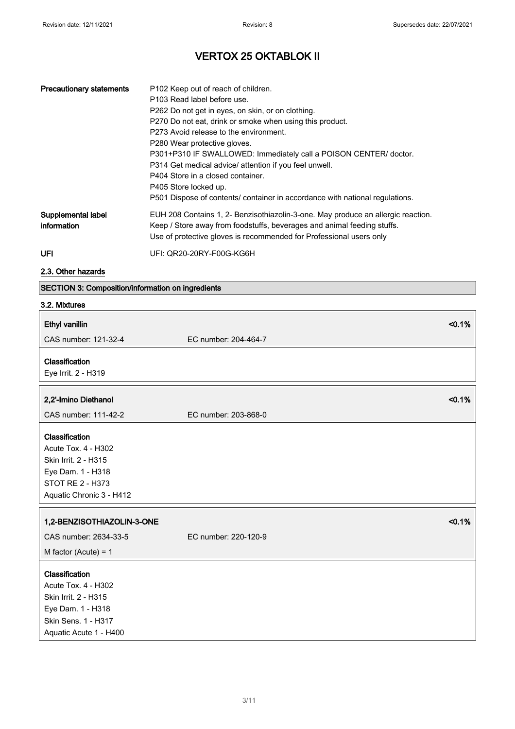| <b>Precautionary statements</b>   | P102 Keep out of reach of children.<br>P103 Read label before use.<br>P262 Do not get in eyes, on skin, or on clothing.<br>P270 Do not eat, drink or smoke when using this product.<br>P273 Avoid release to the environment.<br>P280 Wear protective gloves.<br>P301+P310 IF SWALLOWED: Immediately call a POISON CENTER/ doctor.<br>P314 Get medical advice/ attention if you feel unwell.<br>P404 Store in a closed container.<br>P405 Store locked up.<br>P501 Dispose of contents/ container in accordance with national regulations. |
|-----------------------------------|--------------------------------------------------------------------------------------------------------------------------------------------------------------------------------------------------------------------------------------------------------------------------------------------------------------------------------------------------------------------------------------------------------------------------------------------------------------------------------------------------------------------------------------------|
| Supplemental label<br>information | EUH 208 Contains 1, 2- Benzisothiazolin-3-one. May produce an allergic reaction.<br>Keep / Store away from foodstuffs, beverages and animal feeding stuffs.<br>Use of protective gloves is recommended for Professional users only                                                                                                                                                                                                                                                                                                         |
| UFI                               | UFI: QR20-20RY-F00G-KG6H                                                                                                                                                                                                                                                                                                                                                                                                                                                                                                                   |

2.3. Other hazards

### SECTION 3: Composition/information on ingredients

| 3.2. Mixtures                                                                                                                       |                      |
|-------------------------------------------------------------------------------------------------------------------------------------|----------------------|
| Ethyl vanillin                                                                                                                      | < 0.1%               |
| CAS number: 121-32-4                                                                                                                | EC number: 204-464-7 |
| Classification<br>Eye Irrit. 2 - H319                                                                                               |                      |
| 2,2'-Imino Diethanol                                                                                                                | < 0.1%               |
| CAS number: 111-42-2                                                                                                                | EC number: 203-868-0 |
| Classification<br>Acute Tox. 4 - H302<br>Skin Irrit. 2 - H315<br>Eye Dam. 1 - H318<br>STOT RE 2 - H373<br>Aquatic Chronic 3 - H412  |                      |
| 1,2-BENZISOTHIAZOLIN-3-ONE                                                                                                          | < 0.1%               |
| CAS number: 2634-33-5                                                                                                               | EC number: 220-120-9 |
| M factor (Acute) = $1$                                                                                                              |                      |
| Classification<br>Acute Tox. 4 - H302<br>Skin Irrit. 2 - H315<br>Eye Dam. 1 - H318<br>Skin Sens. 1 - H317<br>Aquatic Acute 1 - H400 |                      |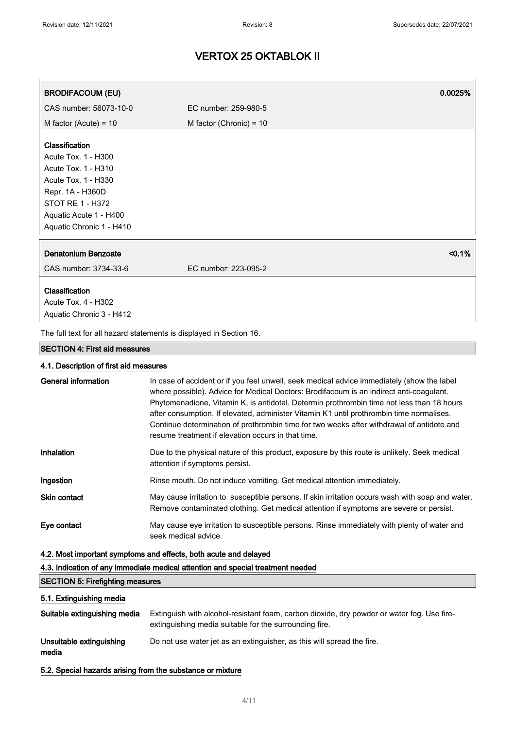| <b>BRODIFACOUM (EU)</b>                                             | 0.0025%                   |
|---------------------------------------------------------------------|---------------------------|
| CAS number: 56073-10-0                                              | EC number: 259-980-5      |
| M factor (Acute) = $10$                                             | M factor (Chronic) = $10$ |
| Classification                                                      |                           |
| Acute Tox. 1 - H300                                                 |                           |
| Acute Tox. 1 - H310                                                 |                           |
| Acute Tox. 1 - H330                                                 |                           |
| Repr. 1A - H360D                                                    |                           |
| STOT RE 1 - H372                                                    |                           |
| Aquatic Acute 1 - H400                                              |                           |
| Aquatic Chronic 1 - H410                                            |                           |
| <b>Denatonium Benzoate</b>                                          | $< 0.1\%$                 |
| CAS number: 3734-33-6                                               | EC number: 223-095-2      |
| Classification                                                      |                           |
| Acute Tox. 4 - H302                                                 |                           |
| Aquatic Chronic 3 - H412                                            |                           |
| The full text for all hazard statements is displayed in Section 16. |                           |

#### SECTION 4: First aid measures

#### 4.1. Description of first aid measures

| General information | In case of accident or if you feel unwell, seek medical advice immediately (show the label<br>where possible). Advice for Medical Doctors: Brodifacoum is an indirect anti-coagulant.<br>Phytomenadione, Vitamin K, is antidotal. Determin prothrombin time not less than 18 hours<br>after consumption. If elevated, administer Vitamin K1 until prothrombin time normalises.<br>Continue determination of prothrombin time for two weeks after withdrawal of antidote and<br>resume treatment if elevation occurs in that time. |
|---------------------|-----------------------------------------------------------------------------------------------------------------------------------------------------------------------------------------------------------------------------------------------------------------------------------------------------------------------------------------------------------------------------------------------------------------------------------------------------------------------------------------------------------------------------------|
| Inhalation          | Due to the physical nature of this product, exposure by this route is unlikely. Seek medical<br>attention if symptoms persist.                                                                                                                                                                                                                                                                                                                                                                                                    |
| Ingestion           | Rinse mouth. Do not induce vomiting. Get medical attention immediately.                                                                                                                                                                                                                                                                                                                                                                                                                                                           |
| <b>Skin contact</b> | May cause irritation to susceptible persons. If skin irritation occurs wash with soap and water.<br>Remove contaminated clothing. Get medical attention if symptoms are severe or persist.                                                                                                                                                                                                                                                                                                                                        |
| Eye contact         | May cause eye irritation to susceptible persons. Rinse immediately with plenty of water and<br>seek medical advice.                                                                                                                                                                                                                                                                                                                                                                                                               |

### 4.2. Most important symptoms and effects, both acute and delayed

4.3. Indication of any immediate medical attention and special treatment needed

#### SECTION 5: Firefighting measures

### 5.1. Extinguishing media

| Suitable extinguishing media      | Extinguish with alcohol-resistant foam, carbon dioxide, dry powder or water fog. Use fire-<br>extinguishing media suitable for the surrounding fire. |
|-----------------------------------|------------------------------------------------------------------------------------------------------------------------------------------------------|
| Unsuitable extinguishing<br>media | Do not use water jet as an extinguisher, as this will spread the fire.                                                                               |

5.2. Special hazards arising from the substance or mixture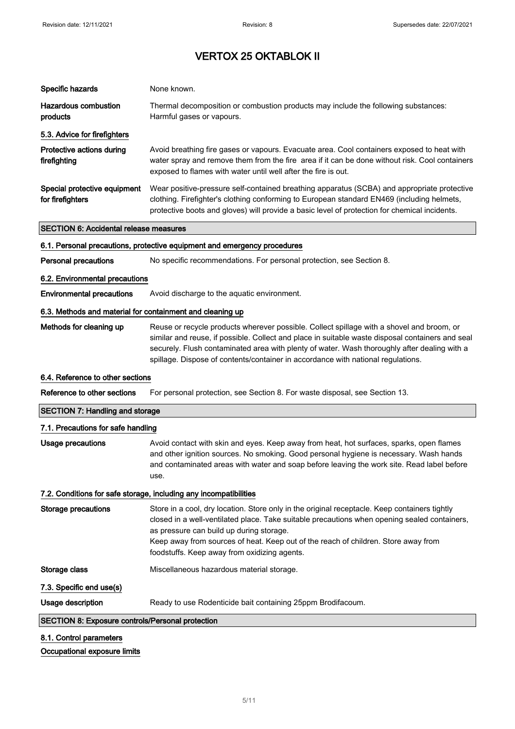| Specific hazards                                          | None known.                                                                                                                                                                                                                                                                                                                                                                       |
|-----------------------------------------------------------|-----------------------------------------------------------------------------------------------------------------------------------------------------------------------------------------------------------------------------------------------------------------------------------------------------------------------------------------------------------------------------------|
| <b>Hazardous combustion</b><br>products                   | Thermal decomposition or combustion products may include the following substances:<br>Harmful gases or vapours.                                                                                                                                                                                                                                                                   |
| 5.3. Advice for firefighters                              |                                                                                                                                                                                                                                                                                                                                                                                   |
| Protective actions during<br>firefighting                 | Avoid breathing fire gases or vapours. Evacuate area. Cool containers exposed to heat with<br>water spray and remove them from the fire area if it can be done without risk. Cool containers<br>exposed to flames with water until well after the fire is out.                                                                                                                    |
| Special protective equipment<br>for firefighters          | Wear positive-pressure self-contained breathing apparatus (SCBA) and appropriate protective<br>clothing. Firefighter's clothing conforming to European standard EN469 (including helmets,<br>protective boots and gloves) will provide a basic level of protection for chemical incidents.                                                                                        |
| <b>SECTION 6: Accidental release measures</b>             |                                                                                                                                                                                                                                                                                                                                                                                   |
|                                                           | 6.1. Personal precautions, protective equipment and emergency procedures                                                                                                                                                                                                                                                                                                          |
| <b>Personal precautions</b>                               | No specific recommendations. For personal protection, see Section 8.                                                                                                                                                                                                                                                                                                              |
| 6.2. Environmental precautions                            |                                                                                                                                                                                                                                                                                                                                                                                   |
| <b>Environmental precautions</b>                          | Avoid discharge to the aquatic environment.                                                                                                                                                                                                                                                                                                                                       |
| 6.3. Methods and material for containment and cleaning up |                                                                                                                                                                                                                                                                                                                                                                                   |
| Methods for cleaning up                                   | Reuse or recycle products wherever possible. Collect spillage with a shovel and broom, or<br>similar and reuse, if possible. Collect and place in suitable waste disposal containers and seal<br>securely. Flush contaminated area with plenty of water. Wash thoroughly after dealing with a<br>spillage. Dispose of contents/container in accordance with national regulations. |
|                                                           |                                                                                                                                                                                                                                                                                                                                                                                   |
| 6.4. Reference to other sections                          |                                                                                                                                                                                                                                                                                                                                                                                   |
| Reference to other sections                               | For personal protection, see Section 8. For waste disposal, see Section 13.                                                                                                                                                                                                                                                                                                       |
| <b>SECTION 7: Handling and storage</b>                    |                                                                                                                                                                                                                                                                                                                                                                                   |
| 7.1. Precautions for safe handling                        |                                                                                                                                                                                                                                                                                                                                                                                   |
| Usage precautions                                         | Avoid contact with skin and eyes. Keep away from heat, hot surfaces, sparks, open flames<br>and other ignition sources. No smoking. Good personal hygiene is necessary. Wash hands<br>and contaminated areas with water and soap before leaving the work site. Read label before<br>use.                                                                                          |
|                                                           | 7.2. Conditions for safe storage, including any incompatibilities                                                                                                                                                                                                                                                                                                                 |
| <b>Storage precautions</b>                                | Store in a cool, dry location. Store only in the original receptacle. Keep containers tightly<br>closed in a well-ventilated place. Take suitable precautions when opening sealed containers,<br>as pressure can build up during storage.<br>Keep away from sources of heat. Keep out of the reach of children. Store away from<br>foodstuffs. Keep away from oxidizing agents.   |
| Storage class                                             | Miscellaneous hazardous material storage.                                                                                                                                                                                                                                                                                                                                         |
| 7.3. Specific end use(s)                                  |                                                                                                                                                                                                                                                                                                                                                                                   |
| Usage description                                         | Ready to use Rodenticide bait containing 25ppm Brodifacoum.                                                                                                                                                                                                                                                                                                                       |
| SECTION 8: Exposure controls/Personal protection          |                                                                                                                                                                                                                                                                                                                                                                                   |

### Occupational exposure limits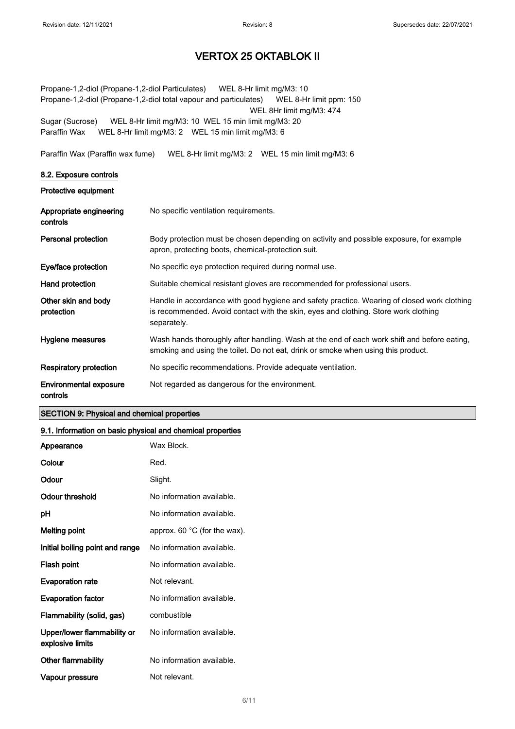Propane-1,2-diol (Propane-1,2-diol Particulates) WEL 8-Hr limit mg/M3: 10 Propane-1,2-diol (Propane-1,2-diol total vapour and particulates) WEL 8-Hr limit ppm: 150 WEL 8Hr limit mg/M3: 474 Sugar (Sucrose) WEL 8-Hr limit mg/M3: 10 WEL 15 min limit mg/M3: 20 Paraffin Wax WEL 8-Hr limit mg/M3: 2 WEL 15 min limit mg/M3: 6

Paraffin Wax (Paraffin wax fume) WEL 8-Hr limit mg/M3: 2 WEL 15 min limit mg/M3: 6

#### 8.2. Exposure controls

Protective equipment

| Appropriate engineering<br>controls       | No specific ventilation requirements.                                                                                                                                                             |
|-------------------------------------------|---------------------------------------------------------------------------------------------------------------------------------------------------------------------------------------------------|
| Personal protection                       | Body protection must be chosen depending on activity and possible exposure, for example<br>apron, protecting boots, chemical-protection suit.                                                     |
| Eye/face protection                       | No specific eye protection required during normal use.                                                                                                                                            |
| Hand protection                           | Suitable chemical resistant gloves are recommended for professional users.                                                                                                                        |
| Other skin and body<br>protection         | Handle in accordance with good hygiene and safety practice. Wearing of closed work clothing<br>is recommended. Avoid contact with the skin, eyes and clothing. Store work clothing<br>separately. |
| Hygiene measures                          | Wash hands thoroughly after handling. Wash at the end of each work shift and before eating,<br>smoking and using the toilet. Do not eat, drink or smoke when using this product.                  |
| <b>Respiratory protection</b>             | No specific recommendations. Provide adequate ventilation.                                                                                                                                        |
| <b>Environmental exposure</b><br>controls | Not regarded as dangerous for the environment.                                                                                                                                                    |

#### SECTION 9: Physical and chemical properties

#### 9.1. Information on basic physical and chemical properties

| Appearance                                      | Wax Block.                             |
|-------------------------------------------------|----------------------------------------|
| Colour                                          | Red.                                   |
| Odour                                           | Slight.                                |
| Odour threshold                                 | No information available.              |
| рH                                              | No information available.              |
| Melting point                                   | approx. 60 $^{\circ}$ C (for the wax). |
| Initial boiling point and range                 | No information available.              |
| Flash point                                     | No information available.              |
| <b>Evaporation rate</b>                         | Not relevant.                          |
| <b>Evaporation factor</b>                       | No information available.              |
| Flammability (solid, gas)                       | combustible                            |
| Upper/lower flammability or<br>explosive limits | No information available.              |
| <b>Other flammability</b>                       | No information available.              |
| Vapour pressure                                 | Not relevant.                          |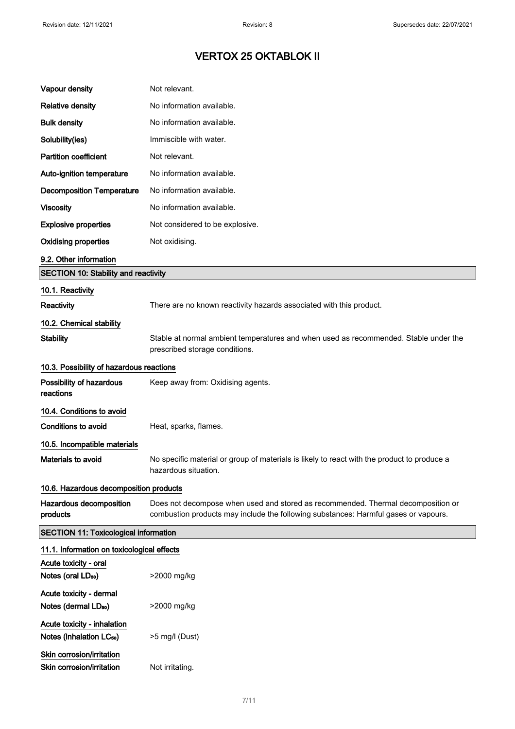| Vapour density                                                      | Not relevant.                                                                                                                                                           |  |
|---------------------------------------------------------------------|-------------------------------------------------------------------------------------------------------------------------------------------------------------------------|--|
| <b>Relative density</b>                                             | No information available.                                                                                                                                               |  |
| <b>Bulk density</b>                                                 | No information available.                                                                                                                                               |  |
| Solubility(ies)                                                     | Immiscible with water.                                                                                                                                                  |  |
| <b>Partition coefficient</b>                                        | Not relevant.                                                                                                                                                           |  |
| Auto-ignition temperature                                           | No information available.                                                                                                                                               |  |
| <b>Decomposition Temperature</b>                                    | No information available.                                                                                                                                               |  |
| <b>Viscosity</b>                                                    | No information available.                                                                                                                                               |  |
| <b>Explosive properties</b>                                         | Not considered to be explosive.                                                                                                                                         |  |
| <b>Oxidising properties</b>                                         | Not oxidising.                                                                                                                                                          |  |
| 9.2. Other information                                              |                                                                                                                                                                         |  |
| <b>SECTION 10: Stability and reactivity</b>                         |                                                                                                                                                                         |  |
| 10.1. Reactivity                                                    |                                                                                                                                                                         |  |
| Reactivity                                                          | There are no known reactivity hazards associated with this product.                                                                                                     |  |
| 10.2. Chemical stability                                            |                                                                                                                                                                         |  |
| <b>Stability</b>                                                    | Stable at normal ambient temperatures and when used as recommended. Stable under the<br>prescribed storage conditions.                                                  |  |
| 10.3. Possibility of hazardous reactions                            |                                                                                                                                                                         |  |
| Possibility of hazardous<br>reactions                               | Keep away from: Oxidising agents.                                                                                                                                       |  |
| 10.4. Conditions to avoid                                           |                                                                                                                                                                         |  |
| <b>Conditions to avoid</b>                                          | Heat, sparks, flames.                                                                                                                                                   |  |
| 10.5. Incompatible materials                                        |                                                                                                                                                                         |  |
| Materials to avoid                                                  | No specific material or group of materials is likely to react with the product to produce a<br>hazardous situation.                                                     |  |
| 10.6. Hazardous decomposition products                              |                                                                                                                                                                         |  |
| Hazardous decomposition<br>products                                 | Does not decompose when used and stored as recommended. Thermal decomposition or<br>combustion products may include the following substances: Harmful gases or vapours. |  |
| <b>SECTION 11: Toxicological information</b>                        |                                                                                                                                                                         |  |
| 11.1. Information on toxicological effects                          |                                                                                                                                                                         |  |
| Acute toxicity - oral                                               |                                                                                                                                                                         |  |
| Notes (oral LD <sub>50</sub> )                                      | >2000 mg/kg                                                                                                                                                             |  |
| Acute toxicity - dermal                                             |                                                                                                                                                                         |  |
| Notes (dermal LD <sub>50</sub> )                                    | >2000 mg/kg                                                                                                                                                             |  |
| Acute toxicity - inhalation<br>Notes (inhalation LC <sub>50</sub> ) | >5 mg/l (Dust)                                                                                                                                                          |  |
| Skin corrosion/irritation                                           |                                                                                                                                                                         |  |
| Skin corrosion/irritation                                           | Not irritating.                                                                                                                                                         |  |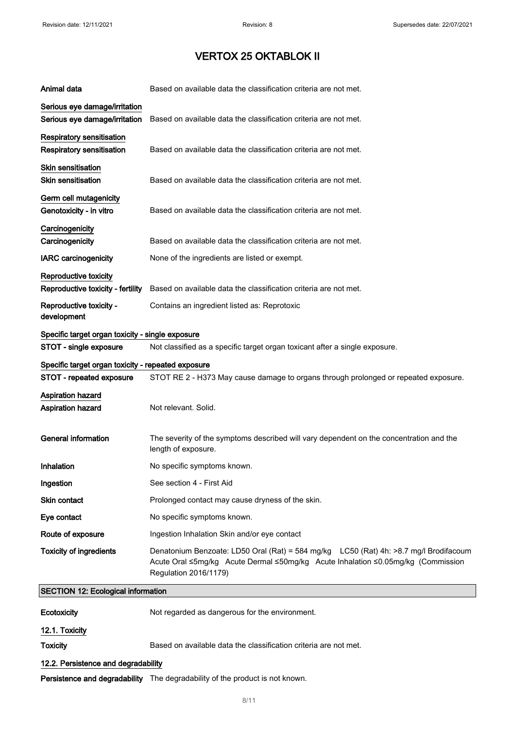| Animal data                                                                    | Based on available data the classification criteria are not met.                                                                                                                                   |  |
|--------------------------------------------------------------------------------|----------------------------------------------------------------------------------------------------------------------------------------------------------------------------------------------------|--|
| Serious eye damage/irritation<br>Serious eye damage/irritation                 | Based on available data the classification criteria are not met.                                                                                                                                   |  |
| Respiratory sensitisation<br>Respiratory sensitisation                         | Based on available data the classification criteria are not met.                                                                                                                                   |  |
| <b>Skin sensitisation</b><br><b>Skin sensitisation</b>                         | Based on available data the classification criteria are not met.                                                                                                                                   |  |
| Germ cell mutagenicity<br>Genotoxicity - in vitro                              | Based on available data the classification criteria are not met.                                                                                                                                   |  |
| Carcinogenicity<br>Carcinogenicity                                             | Based on available data the classification criteria are not met.                                                                                                                                   |  |
| <b>IARC</b> carcinogenicity                                                    | None of the ingredients are listed or exempt.                                                                                                                                                      |  |
| Reproductive toxicity<br>Reproductive toxicity - fertility                     | Based on available data the classification criteria are not met.                                                                                                                                   |  |
| Reproductive toxicity -<br>development                                         | Contains an ingredient listed as: Reprotoxic                                                                                                                                                       |  |
| Specific target organ toxicity - single exposure                               |                                                                                                                                                                                                    |  |
| STOT - single exposure                                                         | Not classified as a specific target organ toxicant after a single exposure.                                                                                                                        |  |
| Specific target organ toxicity - repeated exposure<br>STOT - repeated exposure | STOT RE 2 - H373 May cause damage to organs through prolonged or repeated exposure.                                                                                                                |  |
| Aspiration hazard<br>Aspiration hazard                                         | Not relevant. Solid.                                                                                                                                                                               |  |
| <b>General information</b>                                                     | The severity of the symptoms described will vary dependent on the concentration and the<br>length of exposure.                                                                                     |  |
| Inhalation                                                                     | No specific symptoms known.                                                                                                                                                                        |  |
| Ingestion                                                                      | See section 4 - First Aid                                                                                                                                                                          |  |
| Skin contact                                                                   | Prolonged contact may cause dryness of the skin.                                                                                                                                                   |  |
| Eye contact                                                                    | No specific symptoms known.                                                                                                                                                                        |  |
| Route of exposure                                                              | Ingestion Inhalation Skin and/or eye contact                                                                                                                                                       |  |
| <b>Toxicity of ingredients</b>                                                 | Denatonium Benzoate: LD50 Oral (Rat) = 584 mg/kg LC50 (Rat) 4h: >8.7 mg/l Brodifacoum<br>Acute Oral ≤5mg/kg Acute Dermal ≤50mg/kg Acute Inhalation ≤0.05mg/kg (Commission<br>Regulation 2016/1179) |  |
| <b>SECTION 12: Ecological information</b>                                      |                                                                                                                                                                                                    |  |
| Ecotoxicity                                                                    | Not regarded as dangerous for the environment.                                                                                                                                                     |  |
| 12.1. Toxicity                                                                 |                                                                                                                                                                                                    |  |
| <b>Toxicity</b>                                                                | Based on available data the classification criteria are not met.                                                                                                                                   |  |

### 12.2. Persistence and degradability

Persistence and degradability The degradability of the product is not known.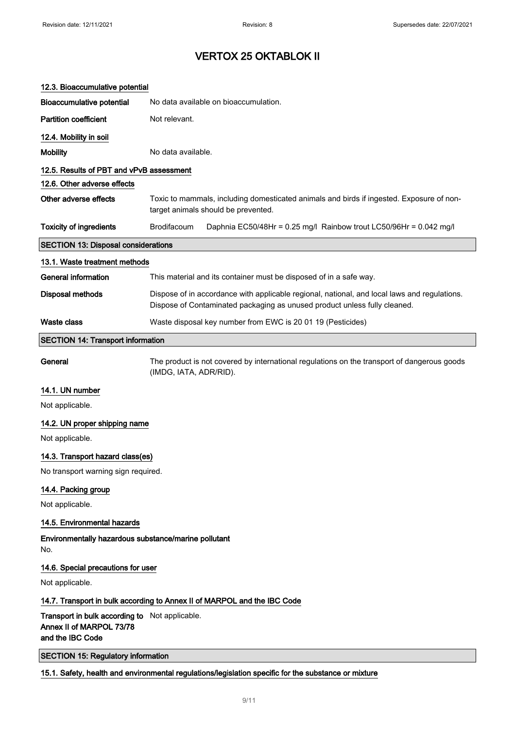| 12.3. Bioaccumulative potential                                                                      |                                                                                                                                                                           |  |
|------------------------------------------------------------------------------------------------------|---------------------------------------------------------------------------------------------------------------------------------------------------------------------------|--|
| <b>Bioaccumulative potential</b>                                                                     | No data available on bioaccumulation.                                                                                                                                     |  |
| <b>Partition coefficient</b>                                                                         | Not relevant.                                                                                                                                                             |  |
| 12.4. Mobility in soil                                                                               |                                                                                                                                                                           |  |
| <b>Mobility</b>                                                                                      | No data available.                                                                                                                                                        |  |
| 12.5. Results of PBT and vPvB assessment                                                             |                                                                                                                                                                           |  |
| 12.6. Other adverse effects                                                                          |                                                                                                                                                                           |  |
| Other adverse effects                                                                                | Toxic to mammals, including domesticated animals and birds if ingested. Exposure of non-<br>target animals should be prevented.                                           |  |
| <b>Toxicity of ingredients</b>                                                                       | Brodifacoum<br>Daphnia EC50/48Hr = 0.25 mg/l Rainbow trout LC50/96Hr = 0.042 mg/l                                                                                         |  |
| <b>SECTION 13: Disposal considerations</b>                                                           |                                                                                                                                                                           |  |
| 13.1. Waste treatment methods                                                                        |                                                                                                                                                                           |  |
| General information                                                                                  | This material and its container must be disposed of in a safe way.                                                                                                        |  |
| <b>Disposal methods</b>                                                                              | Dispose of in accordance with applicable regional, national, and local laws and regulations.<br>Dispose of Contaminated packaging as unused product unless fully cleaned. |  |
| <b>Waste class</b>                                                                                   | Waste disposal key number from EWC is 20 01 19 (Pesticides)                                                                                                               |  |
| <b>SECTION 14: Transport information</b>                                                             |                                                                                                                                                                           |  |
| General                                                                                              | The product is not covered by international regulations on the transport of dangerous goods<br>(IMDG, IATA, ADR/RID).                                                     |  |
| 14.1. UN number                                                                                      |                                                                                                                                                                           |  |
| Not applicable.                                                                                      |                                                                                                                                                                           |  |
| 14.2. UN proper shipping name                                                                        |                                                                                                                                                                           |  |
| Not applicable.                                                                                      |                                                                                                                                                                           |  |
| 14.3. Transport hazard class(es)                                                                     |                                                                                                                                                                           |  |
| No transport warning sign required.                                                                  |                                                                                                                                                                           |  |
| 14.4. Packing group                                                                                  |                                                                                                                                                                           |  |
| Not applicable.                                                                                      |                                                                                                                                                                           |  |
| 14.5. Environmental hazards                                                                          |                                                                                                                                                                           |  |
| Environmentally hazardous substance/marine pollutant<br>No.                                          |                                                                                                                                                                           |  |
| 14.6. Special precautions for user                                                                   |                                                                                                                                                                           |  |
| Not applicable.                                                                                      |                                                                                                                                                                           |  |
| 14.7. Transport in bulk according to Annex II of MARPOL and the IBC Code                             |                                                                                                                                                                           |  |
| Transport in bulk according to Not applicable.<br>Annex II of MARPOL 73/78<br>and the IBC Code       |                                                                                                                                                                           |  |
| <b>SECTION 15: Regulatory information</b>                                                            |                                                                                                                                                                           |  |
| 15.1. Safety, health and environmental regulations/legislation specific for the substance or mixture |                                                                                                                                                                           |  |

#### 9/ 11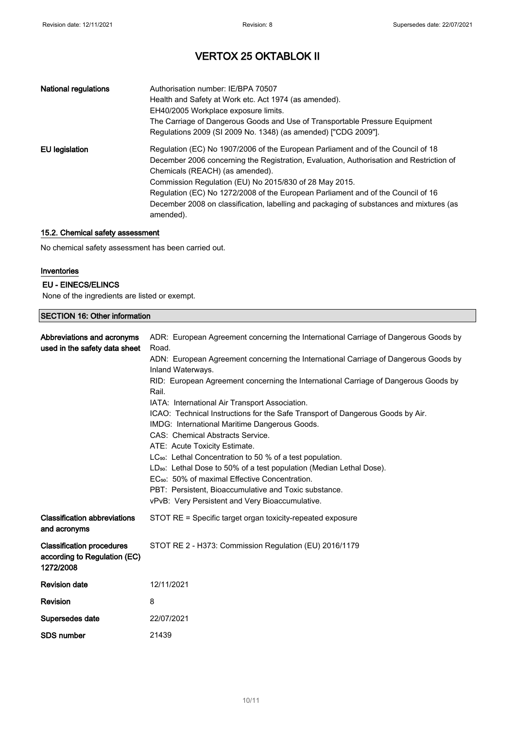| <b>National regulations</b> | Authorisation number: IE/BPA 70507<br>Health and Safety at Work etc. Act 1974 (as amended).<br>EH40/2005 Workplace exposure limits.<br>The Carriage of Dangerous Goods and Use of Transportable Pressure Equipment<br>Regulations 2009 (SI 2009 No. 1348) (as amended) ["CDG 2009"].                                                                                                                                                                                 |
|-----------------------------|----------------------------------------------------------------------------------------------------------------------------------------------------------------------------------------------------------------------------------------------------------------------------------------------------------------------------------------------------------------------------------------------------------------------------------------------------------------------|
| EU legislation              | Regulation (EC) No 1907/2006 of the European Parliament and of the Council of 18<br>December 2006 concerning the Registration, Evaluation, Authorisation and Restriction of<br>Chemicals (REACH) (as amended).<br>Commission Regulation (EU) No 2015/830 of 28 May 2015.<br>Regulation (EC) No 1272/2008 of the European Parliament and of the Council of 16<br>December 2008 on classification, labelling and packaging of substances and mixtures (as<br>amended). |

### 15.2. Chemical safety assessment

No chemical safety assessment has been carried out.

#### Inventories

#### EU - EINECS/ELINCS

None of the ingredients are listed or exempt.

#### SECTION 16: Other information

| Abbreviations and acronyms<br>used in the safety data sheet                   | ADR: European Agreement concerning the International Carriage of Dangerous Goods by<br>Road.<br>ADN: European Agreement concerning the International Carriage of Dangerous Goods by<br>Inland Waterways.<br>RID: European Agreement concerning the International Carriage of Dangerous Goods by<br>Rail.<br>IATA: International Air Transport Association.<br>ICAO: Technical Instructions for the Safe Transport of Dangerous Goods by Air.<br>IMDG: International Maritime Dangerous Goods.<br>CAS: Chemical Abstracts Service.<br>ATE: Acute Toxicity Estimate.<br>LC <sub>50</sub> : Lethal Concentration to 50 % of a test population.<br>LD <sub>50</sub> : Lethal Dose to 50% of a test population (Median Lethal Dose).<br>EC <sub>50</sub> : 50% of maximal Effective Concentration.<br>PBT: Persistent. Bioaccumulative and Toxic substance.<br>vPvB: Very Persistent and Very Bioaccumulative. |
|-------------------------------------------------------------------------------|-----------------------------------------------------------------------------------------------------------------------------------------------------------------------------------------------------------------------------------------------------------------------------------------------------------------------------------------------------------------------------------------------------------------------------------------------------------------------------------------------------------------------------------------------------------------------------------------------------------------------------------------------------------------------------------------------------------------------------------------------------------------------------------------------------------------------------------------------------------------------------------------------------------|
| <b>Classification abbreviations</b><br>and acronyms                           | STOT RE = Specific target organ toxicity-repeated exposure                                                                                                                                                                                                                                                                                                                                                                                                                                                                                                                                                                                                                                                                                                                                                                                                                                                |
| <b>Classification procedures</b><br>according to Regulation (EC)<br>1272/2008 | STOT RE 2 - H373: Commission Regulation (EU) 2016/1179                                                                                                                                                                                                                                                                                                                                                                                                                                                                                                                                                                                                                                                                                                                                                                                                                                                    |
| <b>Revision date</b>                                                          | 12/11/2021                                                                                                                                                                                                                                                                                                                                                                                                                                                                                                                                                                                                                                                                                                                                                                                                                                                                                                |
| <b>Revision</b>                                                               | 8                                                                                                                                                                                                                                                                                                                                                                                                                                                                                                                                                                                                                                                                                                                                                                                                                                                                                                         |
| Supersedes date                                                               | 22/07/2021                                                                                                                                                                                                                                                                                                                                                                                                                                                                                                                                                                                                                                                                                                                                                                                                                                                                                                |
| <b>SDS number</b>                                                             | 21439                                                                                                                                                                                                                                                                                                                                                                                                                                                                                                                                                                                                                                                                                                                                                                                                                                                                                                     |